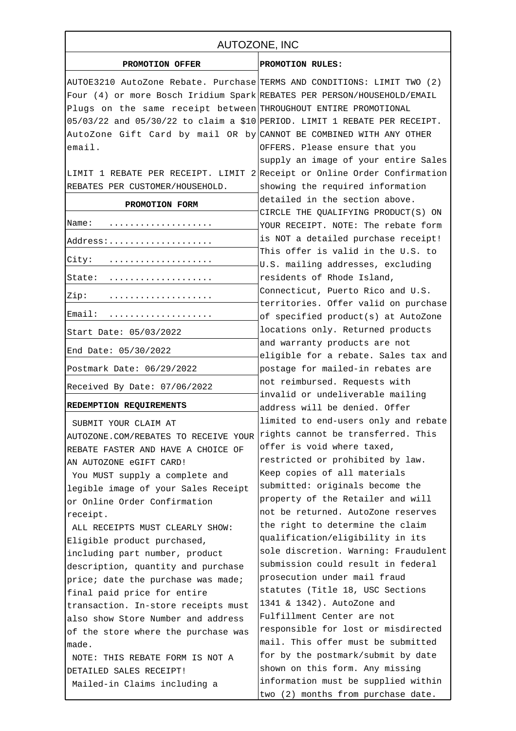| AUTOZONE, INC                                                             |                                                                           |
|---------------------------------------------------------------------------|---------------------------------------------------------------------------|
| PROMOTION OFFER                                                           | PROMOTION RULES:                                                          |
| AUTOE3210 AutoZone Rebate. Purchase TERMS AND CONDITIONS: LIMIT TWO (2)   |                                                                           |
| Four (4) or more Bosch Iridium Spark REBATES PER PERSON/HOUSEHOLD/EMAIL   |                                                                           |
| Plugs on the same receipt between THROUGHOUT ENTIRE PROMOTIONAL           |                                                                           |
| 05/03/22 and 05/30/22 to claim a \$10 PERIOD. LIMIT 1 REBATE PER RECEIPT. |                                                                           |
| AutoZone Gift Card by mail OR by CANNOT BE COMBINED WITH ANY OTHER        |                                                                           |
| email.                                                                    | OFFERS. Please ensure that you                                            |
|                                                                           | supply an image of your entire Sales                                      |
| LIMIT 1 REBATE PER RECEIPT. LIMIT 2 Receipt or Online Order Confirmation  |                                                                           |
| REBATES PER CUSTOMER/HOUSEHOLD.                                           | showing the required information                                          |
| PROMOTION FORM                                                            | detailed in the section above.                                            |
|                                                                           | CIRCLE THE QUALIFYING PRODUCT(S) ON                                       |
| Name:                                                                     | YOUR RECEIPT. NOTE: The rebate form                                       |
| Address:                                                                  | is NOT a detailed purchase receipt!                                       |
| City:                                                                     | This offer is valid in the U.S. to                                        |
|                                                                           | U.S. mailing addresses, excluding                                         |
| State:                                                                    | residents of Rhode Island,                                                |
| Zip:                                                                      | Connecticut, Puerto Rico and U.S.<br>territories. Offer valid on purchase |
| Email:                                                                    | of specified product(s) at AutoZone                                       |
| Start Date: 05/03/2022                                                    | locations only. Returned products                                         |
| End Date: 05/30/2022                                                      | and warranty products are not<br>eligible for a rebate. Sales tax and     |
| Postmark Date: 06/29/2022                                                 | postage for mailed-in rebates are                                         |
| Received By Date: 07/06/2022                                              | not reimbursed. Requests with                                             |
| REDEMPTION REQUIREMENTS                                                   | invalid or undeliverable mailing<br>address will be denied. Offer         |
|                                                                           | limited to end-users only and rebate                                      |
| SUBMIT YOUR CLAIM AT                                                      | rights cannot be transferred. This                                        |
| AUTOZONE.COM/REBATES TO RECEIVE YOUR                                      | offer is void where taxed,                                                |
| REBATE FASTER AND HAVE A CHOICE OF                                        | restricted or prohibited by law.                                          |
| AN AUTOZONE eGIFT CARD!                                                   | Keep copies of all materials                                              |
| You MUST supply a complete and<br>legible image of your Sales Receipt     | submitted: originals become the                                           |
| or Online Order Confirmation                                              | property of the Retailer and will                                         |
| receipt.                                                                  | not be returned. AutoZone reserves                                        |
| ALL RECEIPTS MUST CLEARLY SHOW:                                           | the right to determine the claim                                          |
| Eligible product purchased,                                               | qualification/eligibility in its                                          |
| including part number, product                                            | sole discretion. Warning: Fraudulent                                      |
| description, quantity and purchase                                        | submission could result in federal                                        |
| price; date the purchase was made;                                        | prosecution under mail fraud                                              |
| final paid price for entire                                               | statutes (Title 18, USC Sections                                          |
| transaction. In-store receipts must                                       | 1341 & 1342). AutoZone and                                                |
| also show Store Number and address                                        | Fulfillment Center are not                                                |
| of the store where the purchase was                                       | responsible for lost or misdirected                                       |
| made.                                                                     | mail. This offer must be submitted                                        |
| NOTE: THIS REBATE FORM IS NOT A                                           | for by the postmark/submit by date                                        |
| DETAILED SALES RECEIPT!                                                   | shown on this form. Any missing                                           |
| Mailed-in Claims including a                                              | information must be supplied within                                       |
|                                                                           | two (2) months from purchase date.                                        |